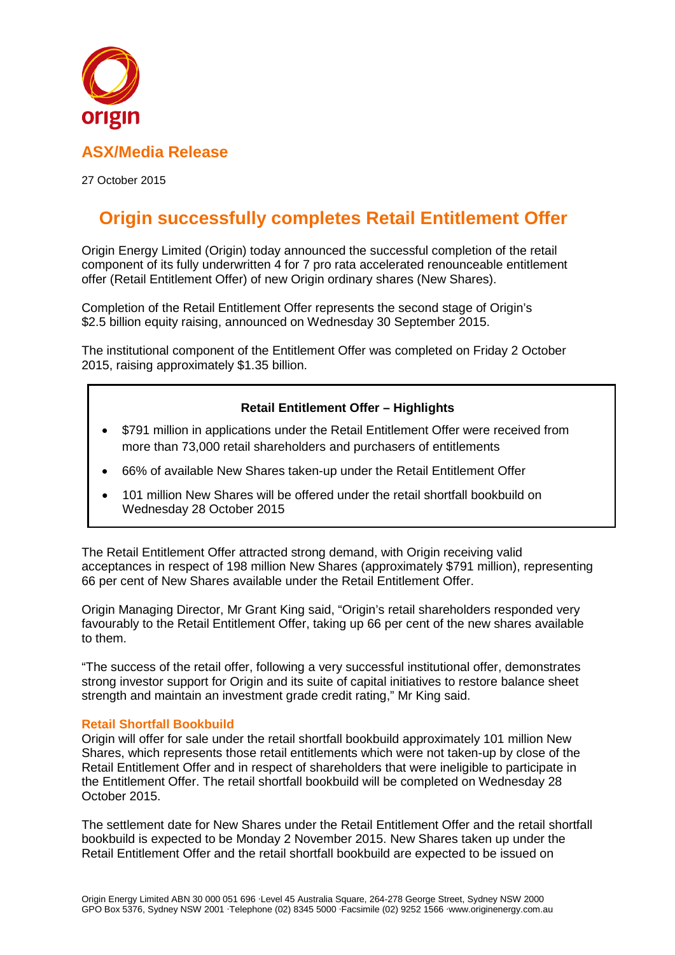

# **ASX/Media Release**

27 October 2015

# **Origin successfully completes Retail Entitlement Offer**

Origin Energy Limited (Origin) today announced the successful completion of the retail component of its fully underwritten 4 for 7 pro rata accelerated renounceable entitlement offer (Retail Entitlement Offer) of new Origin ordinary shares (New Shares).

Completion of the Retail Entitlement Offer represents the second stage of Origin's \$2.5 billion equity raising, announced on Wednesday 30 September 2015.

The institutional component of the Entitlement Offer was completed on Friday 2 October 2015, raising approximately \$1.35 billion.

# **Retail Entitlement Offer – Highlights**

- \$791 million in applications under the Retail Entitlement Offer were received from more than 73,000 retail shareholders and purchasers of entitlements
- 66% of available New Shares taken-up under the Retail Entitlement Offer
- 101 million New Shares will be offered under the retail shortfall bookbuild on Wednesday 28 October 2015

The Retail Entitlement Offer attracted strong demand, with Origin receiving valid acceptances in respect of 198 million New Shares (approximately \$791 million), representing 66 per cent of New Shares available under the Retail Entitlement Offer.

Origin Managing Director, Mr Grant King said, "Origin's retail shareholders responded very favourably to the Retail Entitlement Offer, taking up 66 per cent of the new shares available to them.

"The success of the retail offer, following a very successful institutional offer, demonstrates strong investor support for Origin and its suite of capital initiatives to restore balance sheet strength and maintain an investment grade credit rating," Mr King said.

## **Retail Shortfall Bookbuild**

Origin will offer for sale under the retail shortfall bookbuild approximately 101 million New Shares, which represents those retail entitlements which were not taken-up by close of the Retail Entitlement Offer and in respect of shareholders that were ineligible to participate in the Entitlement Offer. The retail shortfall bookbuild will be completed on Wednesday 28 October 2015.

The settlement date for New Shares under the Retail Entitlement Offer and the retail shortfall bookbuild is expected to be Monday 2 November 2015. New Shares taken up under the Retail Entitlement Offer and the retail shortfall bookbuild are expected to be issued on